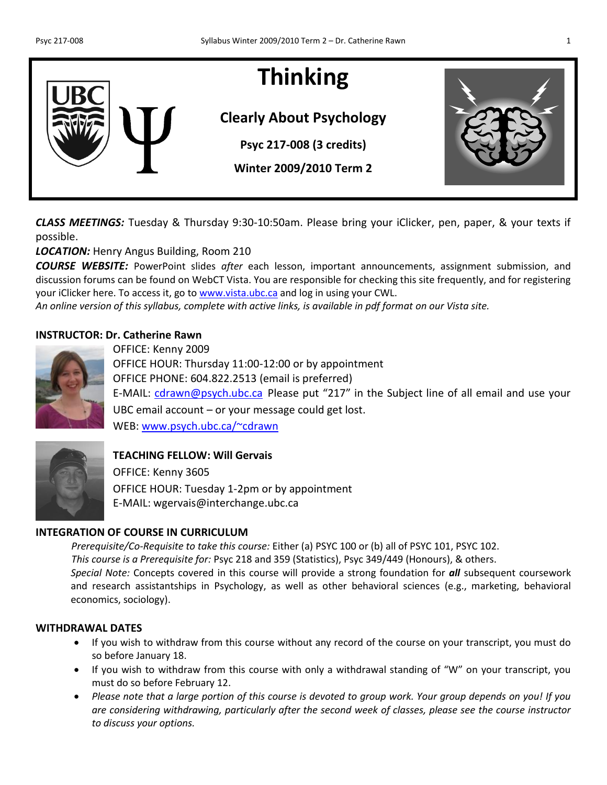# **Thinking**

## **Clearly About Psychology**

**Psyc 217-008 (3 credits)**

**Winter 2009/2010 Term 2**

*CLASS MEETINGS:* Tuesday & Thursday 9:30-10:50am. Please bring your iClicker, pen, paper, & your texts if possible.

*LOCATION:* Henry Angus Building, Room 210

*COURSE WEBSITE:* PowerPoint slides *after* each lesson, important announcements, assignment submission, and discussion forums can be found on WebCT Vista. You are responsible for checking this site frequently, and for registering your iClicker here. To access it, go to [www.vista.ubc.ca](http://www.vista.ubc.ca/) and log in using your CWL.

*An online version of this syllabus, complete with active links, is available in pdf format on our Vista site.*

#### **INSTRUCTOR: Dr. Catherine Rawn**



OFFICE: Kenny 2009 OFFICE HOUR: Thursday 11:00-12:00 or by appointment OFFICE PHONE: 604.822.2513 (email is preferred) E-MAIL: [cdrawn@psych.ubc.ca](mailto:cdrawn@psych.ubc.ca) Please put "217" in the Subject line of all email and use your UBC email account – or your message could get lost. WEB: [www.psych.ubc.ca/~cdrawn](http://www.psych.ubc.ca/~cdrawn)





#### **TEACHING FELLOW: Will Gervais**

OFFICE: Kenny 3605 OFFICE HOUR: Tuesday 1-2pm or by appointment E-MAIL: wgervais@interchange.ubc.ca

#### **INTEGRATION OF COURSE IN CURRICULUM**

*Prerequisite/Co-Requisite to take this course:* Either (a) PSYC 100 or (b) all of PSYC 101, PSYC 102. *This course is a Prerequisite for:* Psyc 218 and 359 (Statistics), Psyc 349/449 (Honours), & others. *Special Note:* Concepts covered in this course will provide a strong foundation for *all* subsequent coursework and research assistantships in Psychology, as well as other behavioral sciences (e.g., marketing, behavioral economics, sociology).

#### **WITHDRAWAL DATES**

- If you wish to withdraw from this course without any record of the course on your transcript, you must do so before January 18.
- If you wish to withdraw from this course with only a withdrawal standing of "W" on your transcript, you must do so before February 12.
- *Please note that a large portion of this course is devoted to group work. Your group depends on you! If you are considering withdrawing, particularly after the second week of classes, please see the course instructor to discuss your options.*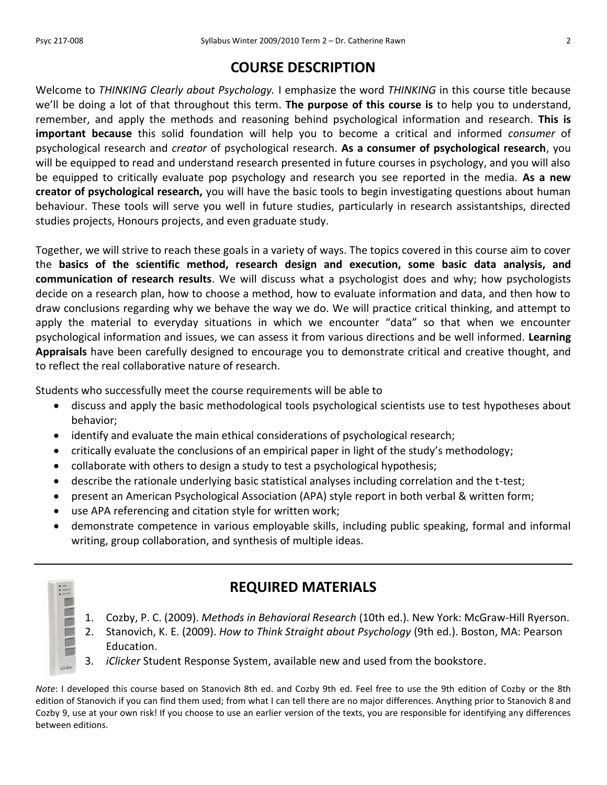## **COURSE DESCRIPTION**

Welcome to *THINKING Clearly about Psychology.* I emphasize the word *THINKING* in this course title because we'll be doing a lot of that throughout this term. **The purpose of this course is** to help you to understand, remember, and apply the methods and reasoning behind psychological information and research. **This is important because** this solid foundation will help you to become a critical and informed *consumer* of psychological research and *creator* of psychological research. **As a consumer of psychological research**, you will be equipped to read and understand research presented in future courses in psychology, and you will also be equipped to critically evaluate pop psychology and research you see reported in the media. **As a new creator of psychological research,** you will have the basic tools to begin investigating questions about human behaviour. These tools will serve you well in future studies, particularly in research assistantships, directed studies projects, Honours projects, and even graduate study.

Together, we will strive to reach these goals in a variety of ways. The topics covered in this course aim to cover the **basics of the scientific method, research design and execution, some basic data analysis, and communication of research results**. We will discuss what a psychologist does and why; how psychologists decide on a research plan, how to choose a method, how to evaluate information and data, and then how to draw conclusions regarding why we behave the way we do. We will practice critical thinking, and attempt to apply the material to everyday situations in which we encounter "data" so that when we encounter psychological information and issues, we can assess it from various directions and be well informed. **Learning Appraisals** have been carefully designed to encourage you to demonstrate critical and creative thought, and to reflect the real collaborative nature of research.

Students who successfully meet the course requirements will be able to

- discuss and apply the basic methodological tools psychological scientists use to test hypotheses about behavior;
- identify and evaluate the main ethical considerations of psychological research;
- critically evaluate the conclusions of an empirical paper in light of the study's methodology;
- collaborate with others to design a study to test a psychological hypothesis;
- describe the rationale underlying basic statistical analyses including correlation and the t-test;
- present an American Psychological Association (APA) style report in both verbal & written form;
- use APA referencing and citation style for written work;
- demonstrate competence in various employable skills, including public speaking, formal and informal writing, group collaboration, and synthesis of multiple ideas.



**OCCESSI**N

## **REQUIRED MATERIALS**

- 1. Cozby, P. C. (2009). *Methods in Behavioral Research* (10th ed.). New York: McGraw-Hill Ryerson.
- 2. Stanovich, K. E. (2009). *How to Think Straight about Psychology* (9th ed.). Boston, MA: Pearson Education.
- 3. *iClicker* Student Response System, available new and used from the bookstore.

*Note*: I developed this course based on Stanovich 8th ed. and Cozby 9th ed. Feel free to use the 9th edition of Cozby or the 8th edition of Stanovich if you can find them used; from what I can tell there are no major differences. Anything prior to Stanovich 8 and Cozby 9, use at your own risk! If you choose to use an earlier version of the texts, you are responsible for identifying any differences between editions.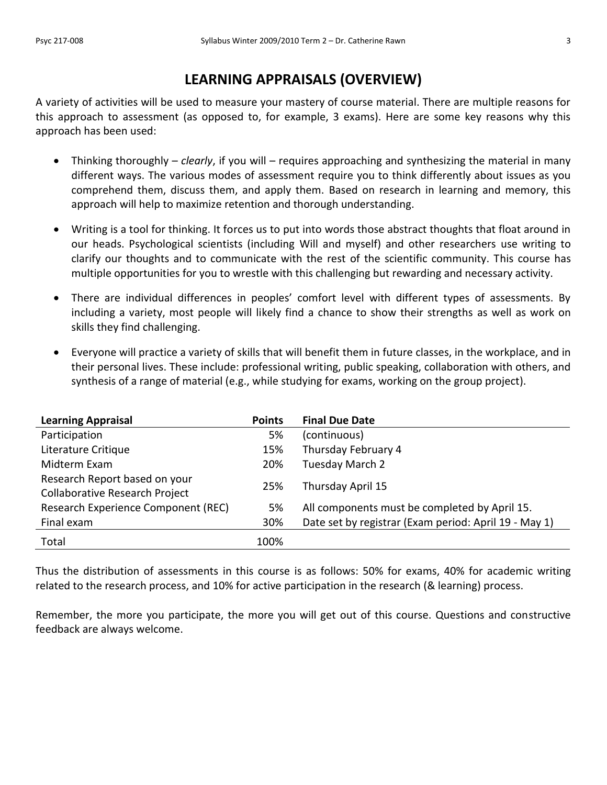## **LEARNING APPRAISALS (OVERVIEW)**

A variety of activities will be used to measure your mastery of course material. There are multiple reasons for this approach to assessment (as opposed to, for example, 3 exams). Here are some key reasons why this approach has been used:

- Thinking thoroughly *clearly*, if you will requires approaching and synthesizing the material in many different ways. The various modes of assessment require you to think differently about issues as you comprehend them, discuss them, and apply them. Based on research in learning and memory, this approach will help to maximize retention and thorough understanding.
- Writing is a tool for thinking. It forces us to put into words those abstract thoughts that float around in our heads. Psychological scientists (including Will and myself) and other researchers use writing to clarify our thoughts and to communicate with the rest of the scientific community. This course has multiple opportunities for you to wrestle with this challenging but rewarding and necessary activity.
- There are individual differences in peoples' comfort level with different types of assessments. By including a variety, most people will likely find a chance to show their strengths as well as work on skills they find challenging.
- Everyone will practice a variety of skills that will benefit them in future classes, in the workplace, and in their personal lives. These include: professional writing, public speaking, collaboration with others, and synthesis of a range of material (e.g., while studying for exams, working on the group project).

| <b>Learning Appraisal</b>             | <b>Points</b> | <b>Final Due Date</b>                                 |
|---------------------------------------|---------------|-------------------------------------------------------|
| Participation                         | 5%            | (continuous)                                          |
| Literature Critique                   | 15%           | Thursday February 4                                   |
| Midterm Exam                          | 20%           | Tuesday March 2                                       |
| Research Report based on your         | 25%           |                                                       |
| <b>Collaborative Research Project</b> |               | Thursday April 15                                     |
| Research Experience Component (REC)   | 5%            | All components must be completed by April 15.         |
| Final exam                            | 30%           | Date set by registrar (Exam period: April 19 - May 1) |
| Total                                 | 100%          |                                                       |

Thus the distribution of assessments in this course is as follows: 50% for exams, 40% for academic writing related to the research process, and 10% for active participation in the research (& learning) process.

Remember, the more you participate, the more you will get out of this course. Questions and constructive feedback are always welcome.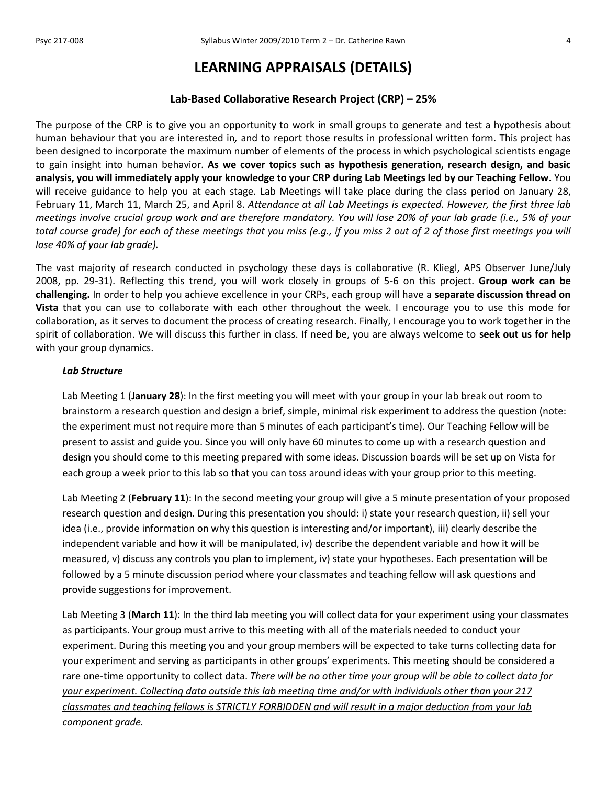## **LEARNING APPRAISALS (DETAILS)**

#### **Lab-Based Collaborative Research Project (CRP) – 25%**

The purpose of the CRP is to give you an opportunity to work in small groups to generate and test a hypothesis about human behaviour that you are interested in*,* and to report those results in professional written form. This project has been designed to incorporate the maximum number of elements of the process in which psychological scientists engage to gain insight into human behavior. **As we cover topics such as hypothesis generation, research design, and basic analysis, you will immediately apply your knowledge to your CRP during Lab Meetings led by our Teaching Fellow.** You will receive guidance to help you at each stage. Lab Meetings will take place during the class period on January 28, February 11, March 11, March 25, and April 8. *Attendance at all Lab Meetings is expected. However, the first three lab meetings involve crucial group work and are therefore mandatory. You will lose 20% of your lab grade (i.e., 5% of your total course grade) for each of these meetings that you miss (e.g., if you miss 2 out of 2 of those first meetings you will lose 40% of your lab grade).*

The vast majority of research conducted in psychology these days is collaborative (R. Kliegl, APS Observer June/July 2008, pp. 29-31). Reflecting this trend, you will work closely in groups of 5-6 on this project. **Group work can be challenging.** In order to help you achieve excellence in your CRPs, each group will have a **separate discussion thread on Vista** that you can use to collaborate with each other throughout the week. I encourage you to use this mode for collaboration, as it serves to document the process of creating research. Finally, I encourage you to work together in the spirit of collaboration. We will discuss this further in class. If need be, you are always welcome to **seek out us for help**  with your group dynamics.

#### *Lab Structure*

Lab Meeting 1 (**January 28**): In the first meeting you will meet with your group in your lab break out room to brainstorm a research question and design a brief, simple, minimal risk experiment to address the question (note: the experiment must not require more than 5 minutes of each participant's time). Our Teaching Fellow will be present to assist and guide you. Since you will only have 60 minutes to come up with a research question and design you should come to this meeting prepared with some ideas. Discussion boards will be set up on Vista for each group a week prior to this lab so that you can toss around ideas with your group prior to this meeting.

Lab Meeting 2 (**February 11**): In the second meeting your group will give a 5 minute presentation of your proposed research question and design. During this presentation you should: i) state your research question, ii) sell your idea (i.e., provide information on why this question is interesting and/or important), iii) clearly describe the independent variable and how it will be manipulated, iv) describe the dependent variable and how it will be measured, v) discuss any controls you plan to implement, iv) state your hypotheses. Each presentation will be followed by a 5 minute discussion period where your classmates and teaching fellow will ask questions and provide suggestions for improvement.

Lab Meeting 3 (**March 11**): In the third lab meeting you will collect data for your experiment using your classmates as participants. Your group must arrive to this meeting with all of the materials needed to conduct your experiment. During this meeting you and your group members will be expected to take turns collecting data for your experiment and serving as participants in other groups' experiments. This meeting should be considered a rare one-time opportunity to collect data. *There will be no other time your group will be able to collect data for your experiment. Collecting data outside this lab meeting time and/or with individuals other than your 217 classmates and teaching fellows is STRICTLY FORBIDDEN and will result in a major deduction from your lab component grade.*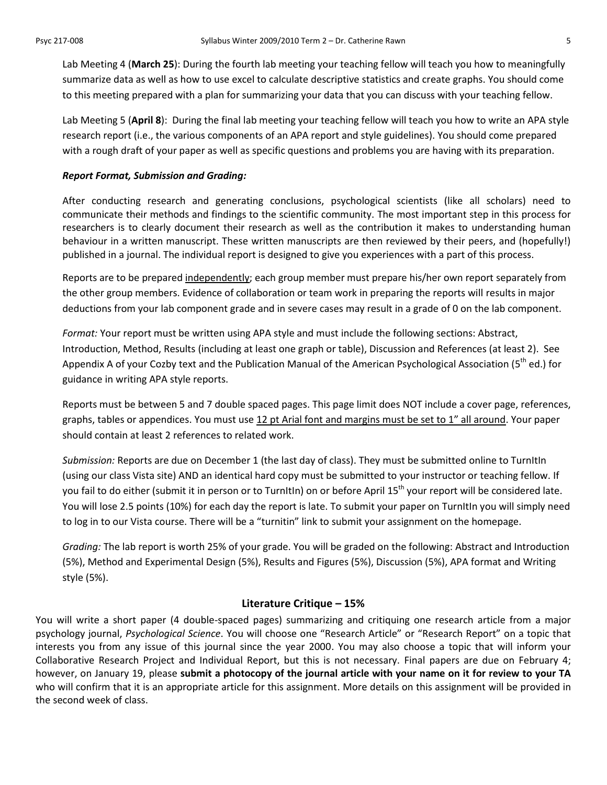Lab Meeting 4 (**March 25**): During the fourth lab meeting your teaching fellow will teach you how to meaningfully summarize data as well as how to use excel to calculate descriptive statistics and create graphs. You should come to this meeting prepared with a plan for summarizing your data that you can discuss with your teaching fellow.

Lab Meeting 5 (**April 8**): During the final lab meeting your teaching fellow will teach you how to write an APA style research report (i.e., the various components of an APA report and style guidelines). You should come prepared with a rough draft of your paper as well as specific questions and problems you are having with its preparation.

#### *Report Format, Submission and Grading:*

After conducting research and generating conclusions, psychological scientists (like all scholars) need to communicate their methods and findings to the scientific community. The most important step in this process for researchers is to clearly document their research as well as the contribution it makes to understanding human behaviour in a written manuscript. These written manuscripts are then reviewed by their peers, and (hopefully!) published in a journal. The individual report is designed to give you experiences with a part of this process.

Reports are to be prepared independently; each group member must prepare his/her own report separately from the other group members. Evidence of collaboration or team work in preparing the reports will results in major deductions from your lab component grade and in severe cases may result in a grade of 0 on the lab component.

*Format:* Your report must be written using APA style and must include the following sections: Abstract, Introduction, Method, Results (including at least one graph or table), Discussion and References (at least 2). See Appendix A of your Cozby text and the Publication Manual of the American Psychological Association (5<sup>th</sup> ed.) for guidance in writing APA style reports.

Reports must be between 5 and 7 double spaced pages. This page limit does NOT include a cover page, references, graphs, tables or appendices. You must use 12 pt Arial font and margins must be set to 1" all around. Your paper should contain at least 2 references to related work.

*Submission:* Reports are due on December 1 (the last day of class). They must be submitted online to TurnItIn (using our class Vista site) AND an identical hard copy must be submitted to your instructor or teaching fellow. If you fail to do either (submit it in person or to TurnItIn) on or before April 15<sup>th</sup> your report will be considered late. You will lose 2.5 points (10%) for each day the report is late. To submit your paper on TurnItIn you will simply need to log in to our Vista course. There will be a "turnitin" link to submit your assignment on the homepage.

*Grading:* The lab report is worth 25% of your grade. You will be graded on the following: Abstract and Introduction (5%), Method and Experimental Design (5%), Results and Figures (5%), Discussion (5%), APA format and Writing style (5%).

#### **Literature Critique – 15%**

You will write a short paper (4 double-spaced pages) summarizing and critiquing one research article from a major psychology journal, *Psychological Science*. You will choose one "Research Article" or "Research Report" on a topic that interests you from any issue of this journal since the year 2000. You may also choose a topic that will inform your Collaborative Research Project and Individual Report, but this is not necessary. Final papers are due on February 4; however, on January 19, please **submit a photocopy of the journal article with your name on it for review to your TA** who will confirm that it is an appropriate article for this assignment. More details on this assignment will be provided in the second week of class.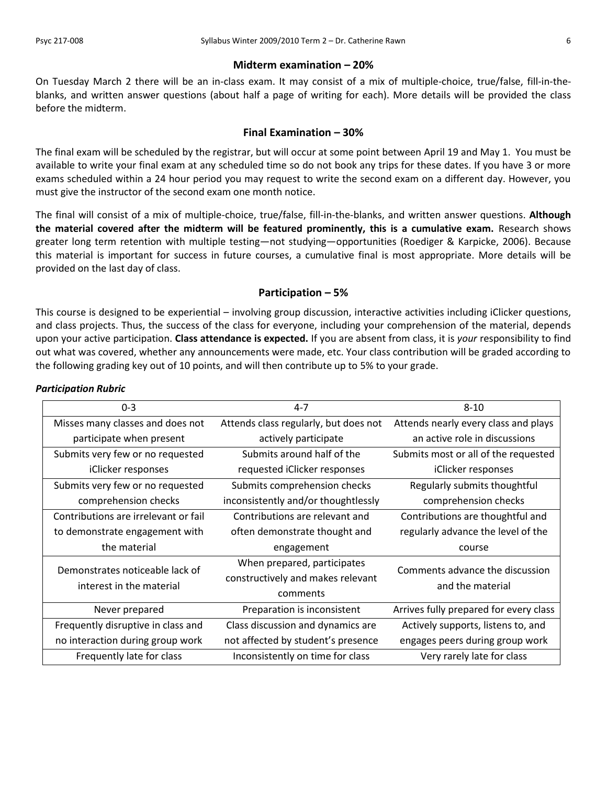#### **Midterm examination – 20%**

On Tuesday March 2 there will be an in-class exam. It may consist of a mix of multiple-choice, true/false, fill-in-theblanks, and written answer questions (about half a page of writing for each). More details will be provided the class before the midterm.

#### **Final Examination – 30%**

The final exam will be scheduled by the registrar, but will occur at some point between April 19 and May 1. You must be available to write your final exam at any scheduled time so do not book any trips for these dates. If you have 3 or more exams scheduled within a 24 hour period you may request to write the second exam on a different day. However, you must give the instructor of the second exam one month notice.

The final will consist of a mix of multiple-choice, true/false, fill-in-the-blanks, and written answer questions. **Although the material covered after the midterm will be featured prominently, this is a cumulative exam.** Research shows greater long term retention with multiple testing—not studying—opportunities (Roediger & Karpicke, 2006). Because this material is important for success in future courses, a cumulative final is most appropriate. More details will be provided on the last day of class.

#### **Participation – 5%**

This course is designed to be experiential – involving group discussion, interactive activities including iClicker questions, and class projects. Thus, the success of the class for everyone, including your comprehension of the material, depends upon your active participation. **Class attendance is expected.** If you are absent from class, it is *your* responsibility to find out what was covered, whether any announcements were made, etc. Your class contribution will be graded according to the following grading key out of 10 points, and will then contribute up to 5% to your grade.

| $0 - 3$                                                       | $4 - 7$                                                                      | $8 - 10$                                            |  |
|---------------------------------------------------------------|------------------------------------------------------------------------------|-----------------------------------------------------|--|
| Misses many classes and does not                              | Attends class regularly, but does not                                        | Attends nearly every class and plays                |  |
| participate when present                                      | actively participate                                                         | an active role in discussions                       |  |
| Submits very few or no requested                              | Submits around half of the                                                   | Submits most or all of the requested                |  |
| iClicker responses                                            | requested iClicker responses                                                 | iClicker responses                                  |  |
| Submits very few or no requested                              | Submits comprehension checks                                                 | Regularly submits thoughtful                        |  |
| comprehension checks                                          | inconsistently and/or thoughtlessly                                          | comprehension checks                                |  |
| Contributions are irrelevant or fail                          | Contributions are relevant and                                               | Contributions are thoughtful and                    |  |
| to demonstrate engagement with                                | often demonstrate thought and                                                | regularly advance the level of the                  |  |
| the material<br>engagement                                    |                                                                              | course                                              |  |
| Demonstrates noticeable lack of<br>interest in the material   | When prepared, participates<br>constructively and makes relevant<br>comments | Comments advance the discussion<br>and the material |  |
| Never prepared                                                | Preparation is inconsistent                                                  | Arrives fully prepared for every class              |  |
| Frequently disruptive in class and                            | Class discussion and dynamics are                                            | Actively supports, listens to, and                  |  |
| no interaction during group work                              | not affected by student's presence                                           | engages peers during group work                     |  |
| Frequently late for class<br>Inconsistently on time for class |                                                                              | Very rarely late for class                          |  |

#### *Participation Rubric*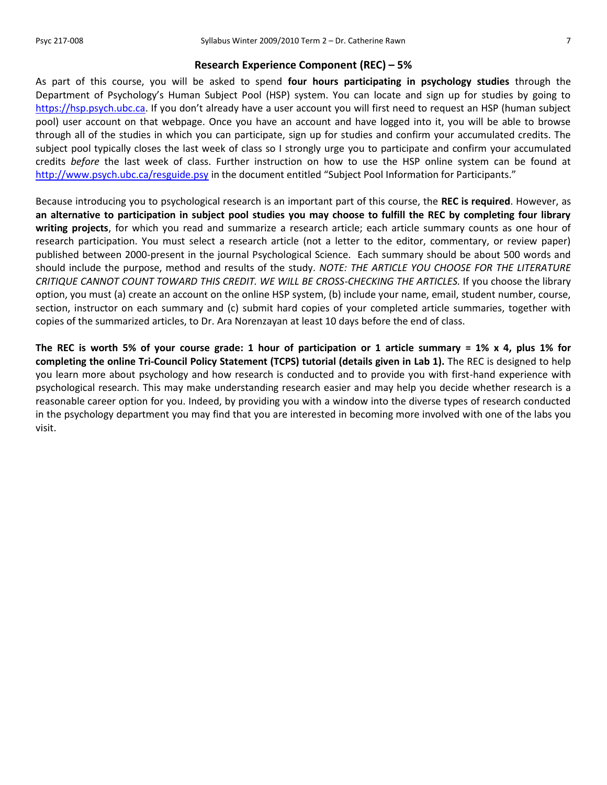#### **Research Experience Component (REC) – 5%**

As part of this course, you will be asked to spend **four hours participating in psychology studies** through the Department of Psychology's Human Subject Pool (HSP) system. You can locate and sign up for studies by going to [https://hsp.psych.ubc.ca](https://hsp.psych.ubc.ca/). If you don't already have a user account you will first need to request an HSP (human subject pool) user account on that webpage. Once you have an account and have logged into it, you will be able to browse through all of the studies in which you can participate, sign up for studies and confirm your accumulated credits. The subject pool typically closes the last week of class so I strongly urge you to participate and confirm your accumulated credits *before* the last week of class. Further instruction on how to use the HSP online system can be found at <http://www.psych.ubc.ca/resguide.psy> in the document entitled "Subject Pool Information for Participants."

Because introducing you to psychological research is an important part of this course, the **REC is required**. However, as **an alternative to participation in subject pool studies you may choose to fulfill the REC by completing four library writing projects**, for which you read and summarize a research article; each article summary counts as one hour of research participation. You must select a research article (not a letter to the editor, commentary, or review paper) published between 2000-present in the journal Psychological Science. Each summary should be about 500 words and should include the purpose, method and results of the study. *NOTE: THE ARTICLE YOU CHOOSE FOR THE LITERATURE CRITIQUE CANNOT COUNT TOWARD THIS CREDIT. WE WILL BE CROSS-CHECKING THE ARTICLES.* If you choose the library option, you must (a) create an account on the online HSP system, (b) include your name, email, student number, course, section, instructor on each summary and (c) submit hard copies of your completed article summaries, together with copies of the summarized articles, to Dr. Ara Norenzayan at least 10 days before the end of class.

**The REC is worth 5% of your course grade: 1 hour of participation or 1 article summary = 1% x 4, plus 1% for completing the online Tri-Council Policy Statement (TCPS) tutorial (details given in Lab 1).** The REC is designed to help you learn more about psychology and how research is conducted and to provide you with first-hand experience with psychological research. This may make understanding research easier and may help you decide whether research is a reasonable career option for you. Indeed, by providing you with a window into the diverse types of research conducted in the psychology department you may find that you are interested in becoming more involved with one of the labs you visit.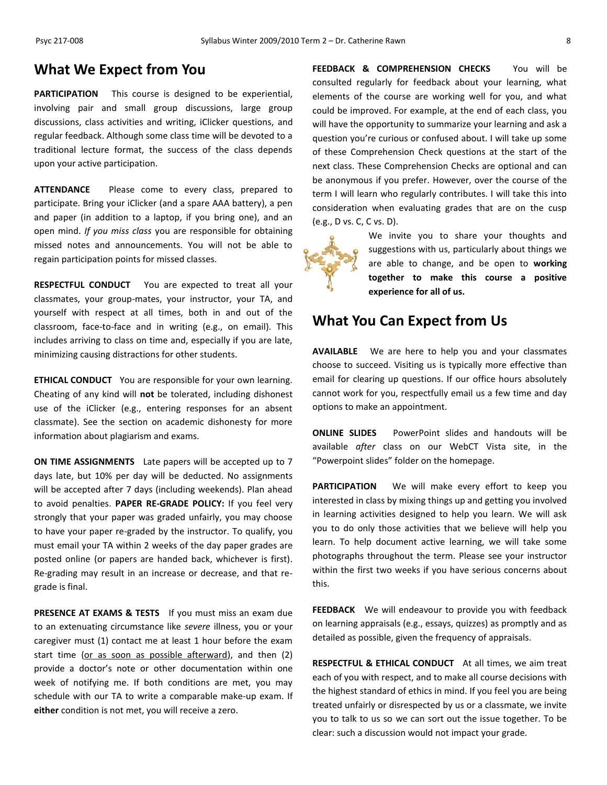### **What We Expect from You**

**PARTICIPATION** This course is designed to be experiential, involving pair and small group discussions, large group discussions, class activities and writing, iClicker questions, and regular feedback. Although some class time will be devoted to a traditional lecture format, the success of the class depends upon your active participation.

**ATTENDANCE** Please come to every class, prepared to participate. Bring your iClicker (and a spare AAA battery), a pen and paper (in addition to a laptop, if you bring one), and an open mind. *If you miss class* you are responsible for obtaining missed notes and announcements. You will not be able to regain participation points for missed classes.

**RESPECTFUL CONDUCT** You are expected to treat all your classmates, your group-mates, your instructor, your TA, and yourself with respect at all times, both in and out of the classroom, face-to-face and in writing (e.g., on email). This includes arriving to class on time and, especially if you are late, minimizing causing distractions for other students.

**ETHICAL CONDUCT** You are responsible for your own learning. Cheating of any kind will **not** be tolerated, including dishonest use of the iClicker (e.g., entering responses for an absent classmate). See the section on academic dishonesty for more information about plagiarism and exams.

**ON TIME ASSIGNMENTS** Late papers will be accepted up to 7 days late, but 10% per day will be deducted. No assignments will be accepted after 7 days (including weekends). Plan ahead to avoid penalties. **PAPER RE-GRADE POLICY:** If you feel very strongly that your paper was graded unfairly, you may choose to have your paper re-graded by the instructor. To qualify, you must email your TA within 2 weeks of the day paper grades are posted online (or papers are handed back, whichever is first). Re-grading may result in an increase or decrease, and that regrade is final.

**PRESENCE AT EXAMS & TESTS** If you must miss an exam due to an extenuating circumstance like *severe* illness, you or your caregiver must (1) contact me at least 1 hour before the exam start time (or as soon as possible afterward), and then (2) provide a doctor's note or other documentation within one week of notifying me. If both conditions are met, you may schedule with our TA to write a comparable make-up exam. If **either** condition is not met, you will receive a zero.

**FEEDBACK & COMPREHENSION CHECKS** You will be consulted regularly for feedback about your learning, what elements of the course are working well for you, and what could be improved. For example, at the end of each class, you will have the opportunity to summarize your learning and ask a question you're curious or confused about. I will take up some of these Comprehension Check questions at the start of the next class. These Comprehension Checks are optional and can be anonymous if you prefer. However, over the course of the term I will learn who regularly contributes. I will take this into consideration when evaluating grades that are on the cusp (e.g., D vs. C, C vs. D).



We invite you to share your thoughts and suggestions with us, particularly about things we are able to change, and be open to **working together to make this course a positive experience for all of us.**

### **What You Can Expect from Us**

**AVAILABLE** We are here to help you and your classmates choose to succeed. Visiting us is typically more effective than email for clearing up questions. If our office hours absolutely cannot work for you, respectfully email us a few time and day options to make an appointment.

**ONLINE SLIDES** PowerPoint slides and handouts will be available *after* class on our WebCT Vista site, in the "Powerpoint slides" folder on the homepage.

**PARTICIPATION** We will make every effort to keep you interested in class by mixing things up and getting you involved in learning activities designed to help you learn. We will ask you to do only those activities that we believe will help you learn. To help document active learning, we will take some photographs throughout the term. Please see your instructor within the first two weeks if you have serious concerns about this.

**FEEDBACK** We will endeavour to provide you with feedback on learning appraisals (e.g., essays, quizzes) as promptly and as detailed as possible, given the frequency of appraisals.

**RESPECTFUL & ETHICAL CONDUCT** At all times, we aim treat each of you with respect, and to make all course decisions with the highest standard of ethics in mind. If you feel you are being treated unfairly or disrespected by us or a classmate, we invite you to talk to us so we can sort out the issue together. To be clear: such a discussion would not impact your grade.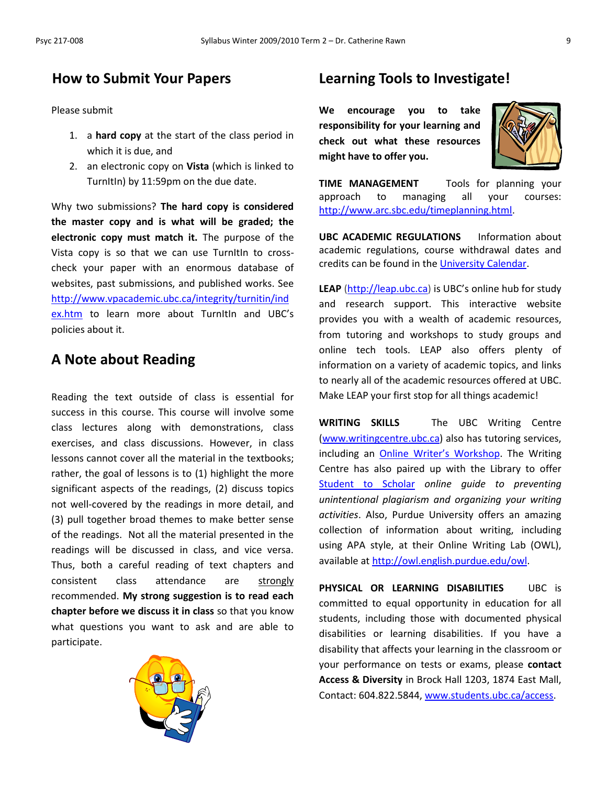## **How to Submit Your Papers**

Please submit

- 1. a **hard copy** at the start of the class period in which it is due, and
- 2. an electronic copy on **Vista** (which is linked to TurnItIn) by 11:59pm on the due date.

Why two submissions? **The hard copy is considered the master copy and is what will be graded; the electronic copy must match it.** The purpose of the Vista copy is so that we can use TurnItIn to crosscheck your paper with an enormous database of websites, past submissions, and published works. See [http://www.vpacademic.ubc.ca/integrity/turnitin/ind](http://www.vpacademic.ubc.ca/integrity/turnitin/index.htm) [ex.htm](http://www.vpacademic.ubc.ca/integrity/turnitin/index.htm) to learn more about Turnitin and UBC's policies about it.

## **A Note about Reading**

Reading the text outside of class is essential for success in this course. This course will involve some class lectures along with demonstrations, class exercises, and class discussions. However, in class lessons cannot cover all the material in the textbooks; rather, the goal of lessons is to (1) highlight the more significant aspects of the readings, (2) discuss topics not well-covered by the readings in more detail, and (3) pull together broad themes to make better sense of the readings. Not all the material presented in the readings will be discussed in class, and vice versa. Thus, both a careful reading of text chapters and consistent class attendance are strongly recommended. **My strong suggestion is to read each chapter before we discuss it in class** so that you know what questions you want to ask and are able to participate.



## **Learning Tools to Investigate!**

**We encourage you to take responsibility for your learning and check out what these resources might have to offer you.**



**TIME MANAGEMENT** Tools for planning your approach to managing all your courses: [http://www.arc.sbc.edu/timeplanning.html.](http://www.arc.sbc.edu/timeplanning.html)

**UBC ACADEMIC REGULATIONS** Information about academic regulations, course withdrawal dates and credits can be found in th[e University Calendar.](http://students.ubc.ca/calendar/academicyear.cfm)

**LEAP** [\(http://leap.ubc.ca\)](http://leap.ubc.ca/) is UBC's online hub for study and research support. This interactive website provides you with a wealth of academic resources, from tutoring and workshops to study groups and online tech tools. LEAP also offers plenty of information on a variety of academic topics, and links to nearly all of the academic resources offered at UBC. Make LEAP your first stop for all things academic!

**WRITING SKILLS** The UBC Writing Centre [\(www.writingcentre.ubc.ca\)](http://www.writingcentre.ubc.ca/) also has tutoring services, including an On[line Writer's Workshop](http://www.writingcentre.ubc.ca/workshop/index.html). The Writing Centre has also paired up with the Library to offer [Student to Scholar](http://www.library.ubc.ca/hss/instruction/sts/Whole_page.htm) *online guide to preventing unintentional plagiarism and organizing your writing activities*. Also, Purdue University offers an amazing collection of information about writing, including using APA style, at their Online Writing Lab (OWL), available at [http://owl.english.purdue.edu/owl.](http://owl.english.purdue.edu/owl/)

**PHYSICAL OR LEARNING DISABILITIES** UBC is committed to equal opportunity in education for all students, including those with documented physical disabilities or learning disabilities. If you have a disability that affects your learning in the classroom or your performance on tests or exams, please **contact Access & Diversity** in Brock Hall 1203, 1874 East Mall, Contact: 604.822.5844[, www.students.ubc.ca/access.](http://www.students.ubc.ca/access)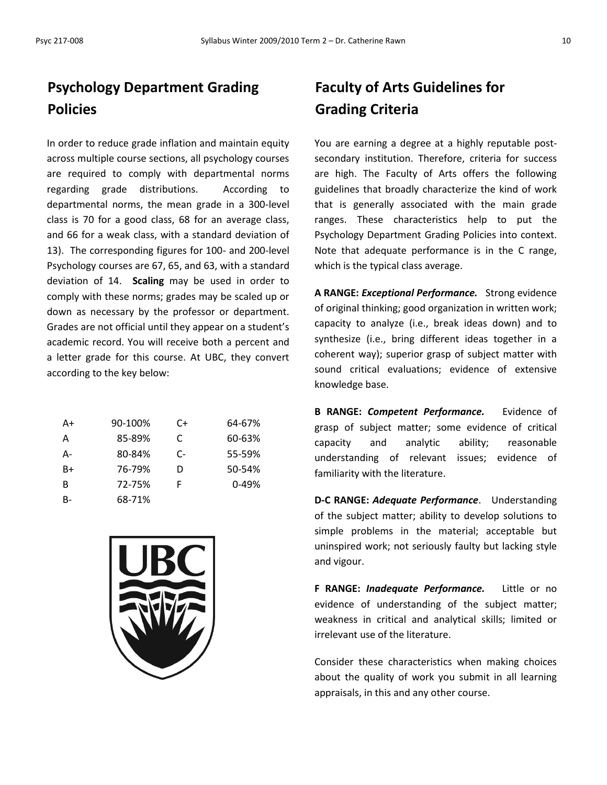## **Psychology Department Grading Policies**

In order to reduce grade inflation and maintain equity across multiple course sections, all psychology courses are required to comply with departmental norms regarding grade distributions. According to departmental norms, the mean grade in a 300-level class is 70 for a good class, 68 for an average class, and 66 for a weak class, with a standard deviation of 13). The corresponding figures for 100- and 200-level Psychology courses are 67, 65, and 63, with a standard deviation of 14. **Scaling** may be used in order to comply with these norms; grades may be scaled up or down as necessary by the professor or department. Grades are not official until they appear on a student's academic record. You will receive both a percent and a letter grade for this course. At UBC, they convert according to the key below:

| A+ | 90-100% | C+ | 64-67%    |
|----|---------|----|-----------|
| А  | 85-89%  | C  | 60-63%    |
| А- | 80-84%  | C- | 55-59%    |
| R+ | 76-79%  | D  | 50-54%    |
| в  | 72-75%  | F  | $0 - 49%$ |
| B- | 68-71%  |    |           |



## **Faculty of Arts Guidelines for Grading Criteria**

You are earning a degree at a highly reputable postsecondary institution. Therefore, criteria for success are high. The Faculty of Arts offers the following guidelines that broadly characterize the kind of work that is generally associated with the main grade ranges. These characteristics help to put the Psychology Department Grading Policies into context. Note that adequate performance is in the C range, which is the typical class average.

**A RANGE:** *Exceptional Performance.* Strong evidence of original thinking; good organization in written work; capacity to analyze (i.e., break ideas down) and to synthesize (i.e., bring different ideas together in a coherent way); superior grasp of subject matter with sound critical evaluations; evidence of extensive knowledge base.

**B RANGE:** *Competent Performance.* Evidence of grasp of subject matter; some evidence of critical capacity and analytic ability; reasonable understanding of relevant issues; evidence of familiarity with the literature.

**D-C RANGE:** *Adequate Performance*. Understanding of the subject matter; ability to develop solutions to simple problems in the material; acceptable but uninspired work; not seriously faulty but lacking style and vigour.

**F RANGE:** *Inadequate Performance.* Little or no evidence of understanding of the subject matter; weakness in critical and analytical skills; limited or irrelevant use of the literature.

Consider these characteristics when making choices about the quality of work you submit in all learning appraisals, in this and any other course.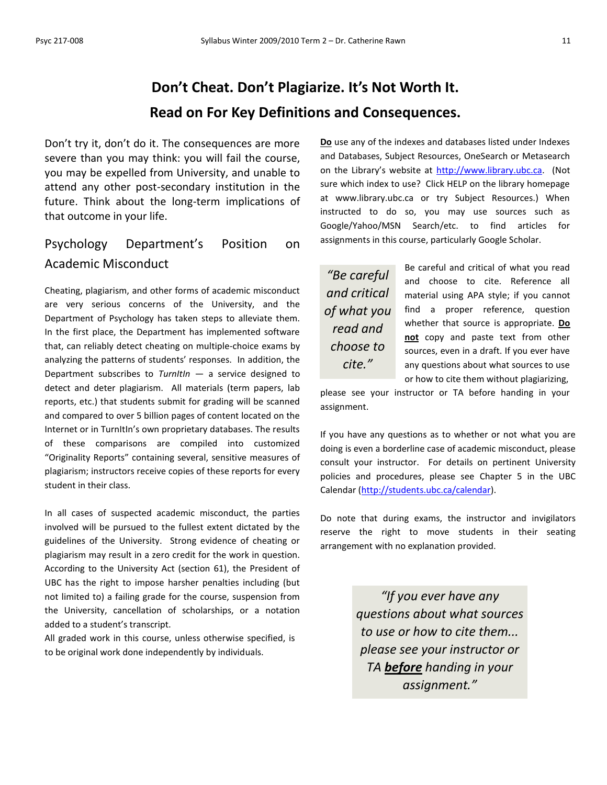## **Don't Cheat. Don't Plagiarize. It's Not Worth It. Read on For Key Definitions and Consequences.**

Don't try it, don't do it. The consequences are more severe than you may think: you will fail the course, you may be expelled from University, and unable to attend any other post-secondary institution in the future. Think about the long-term implications of that outcome in your life.

## Psychology Department's Position on Academic Misconduct

Cheating, plagiarism, and other forms of academic misconduct are very serious concerns of the University, and the Department of Psychology has taken steps to alleviate them. In the first place, the Department has implemented software that, can reliably detect cheating on multiple-choice exams by analyzing the patterns of students' responses. In addition, the Department subscribes to *TurnItIn* — a service designed to detect and deter plagiarism. All materials (term papers, lab reports, etc.) that students submit for grading will be scanned and compared to over 5 billion pages of content located on the Internet or in TurnItIn's own proprietary databases. The results of these comparisons are compiled into customized "Originality Reports" containing several, sensitive measures of plagiarism; instructors receive copies of these reports for every student in their class.

In all cases of suspected academic misconduct, the parties involved will be pursued to the fullest extent dictated by the guidelines of the University. Strong evidence of cheating or plagiarism may result in a zero credit for the work in question. According to the University Act (section 61), the President of UBC has the right to impose harsher penalties including (but not limited to) a failing grade for the course, suspension from the University, cancellation of scholarships, or a notation added to a student's transcript.

All graded work in this course, unless otherwise specified, is to be original work done independently by individuals.

**Do** use any of the indexes and databases listed under Indexes and Databases, Subject Resources, OneSearch or Metasearch on the Library's website at [http://www.library.ubc.ca.](http://www.library.ubc.ca/) (Not sure which index to use? Click HELP on the library homepage at www.library.ubc.ca or try Subject Resources.) When instructed to do so, you may use sources such as Google/Yahoo/MSN Search/etc. to find articles for assignments in this course, particularly Google Scholar.

*"Be careful and critical of what you read and choose to cite."*

Be careful and critical of what you read and choose to cite. Reference all material using APA style; if you cannot find a proper reference, question whether that source is appropriate. **Do not** copy and paste text from other sources, even in a draft. If you ever have any questions about what sources to use or how to cite them without plagiarizing,

please see your instructor or TA before handing in your assignment.

If you have any questions as to whether or not what you are doing is even a borderline case of academic misconduct, please consult your instructor. For details on pertinent University policies and procedures, please see Chapter 5 in the UBC Calendar [\(http://students.ubc.ca/calendar\)](http://students.ubc.ca/calendar).

Do note that during exams, the instructor and invigilators reserve the right to move students in their seating arrangement with no explanation provided.

> *"If you ever have any questions about what sources to use or how to cite them... please see your instructor or TA before handing in your assignment."*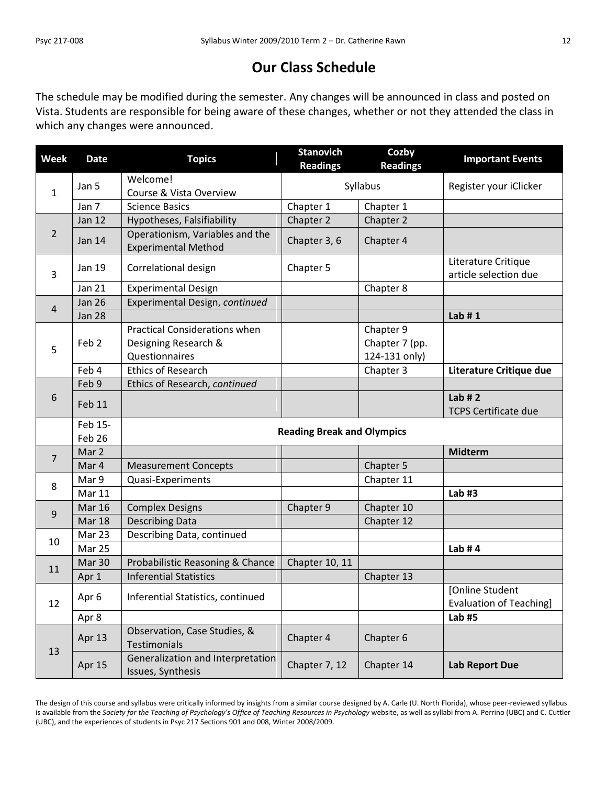## **Our Class Schedule**

The schedule may be modified during the semester. Any changes will be announced in class and posted on Vista. Students are responsible for being aware of these changes, whether or not they attended the class in which any changes were announced.

| <b>Week</b>    | <b>Date</b>       | <b>Topics</b>                                                                  | <b>Stanovich</b><br><b>Readings</b> | Cozby<br><b>Readings</b>                     | <b>Important Events</b>                           |
|----------------|-------------------|--------------------------------------------------------------------------------|-------------------------------------|----------------------------------------------|---------------------------------------------------|
| $\mathbf{1}$   | Jan 5             | Welcome!                                                                       |                                     |                                              | Register your iClicker                            |
|                |                   | Course & Vista Overview                                                        | Syllabus                            |                                              |                                                   |
|                | Jan 7             | <b>Science Basics</b>                                                          | Chapter 1                           | Chapter 1                                    |                                                   |
|                | <b>Jan 12</b>     | Hypotheses, Falsifiability                                                     | Chapter 2                           | Chapter 2                                    |                                                   |
| $\overline{2}$ | Jan 14            | Operationism, Variables and the<br><b>Experimental Method</b>                  | Chapter 3, 6                        | Chapter 4                                    |                                                   |
| 3              | Jan 19            | Correlational design                                                           | Chapter 5                           |                                              | Literature Critique<br>article selection due      |
|                | <b>Jan 21</b>     | <b>Experimental Design</b>                                                     |                                     | Chapter 8                                    |                                                   |
|                | <b>Jan 26</b>     | Experimental Design, continued                                                 |                                     |                                              |                                                   |
| $\overline{4}$ | <b>Jan 28</b>     |                                                                                |                                     |                                              | Lab $# 1$                                         |
| 5              | Feb <sub>2</sub>  | <b>Practical Considerations when</b><br>Designing Research &<br>Questionnaires |                                     | Chapter 9<br>Chapter 7 (pp.<br>124-131 only) |                                                   |
|                | Feb 4             | <b>Ethics of Research</b>                                                      |                                     | Chapter 3                                    | Literature Critique due                           |
|                | Feb 9             | Ethics of Research, continued                                                  |                                     |                                              |                                                   |
| 6              | Feb 11            |                                                                                |                                     |                                              | Lab $# 2$<br><b>TCPS Certificate due</b>          |
|                | Feb 15-<br>Feb 26 | <b>Reading Break and Olympics</b>                                              |                                     |                                              |                                                   |
| $\overline{7}$ | Mar 2             |                                                                                |                                     |                                              | <b>Midterm</b>                                    |
|                | Mar 4             | <b>Measurement Concepts</b>                                                    |                                     | Chapter 5                                    |                                                   |
| 8              | Mar 9             | Quasi-Experiments                                                              |                                     | Chapter 11                                   |                                                   |
|                | Mar 11            |                                                                                |                                     |                                              | Lab $#3$                                          |
| 9              | <b>Mar 16</b>     | <b>Complex Designs</b>                                                         | Chapter 9                           | Chapter 10                                   |                                                   |
|                | <b>Mar 18</b>     | <b>Describing Data</b>                                                         |                                     | Chapter 12                                   |                                                   |
| 10             | Mar 23            | Describing Data, continued                                                     |                                     |                                              |                                                   |
|                | Mar 25            |                                                                                |                                     |                                              | Lab $#4$                                          |
| 11             | Mar 30            | Probabilistic Reasoning & Chance                                               | Chapter 10, 11                      |                                              |                                                   |
|                | Apr <sub>1</sub>  | <b>Inferential Statistics</b>                                                  |                                     | Chapter 13                                   |                                                   |
| 12             | Apr 6             | Inferential Statistics, continued                                              |                                     |                                              | [Online Student<br><b>Evaluation of Teaching]</b> |
|                | Apr 8             |                                                                                |                                     |                                              | Lab #5                                            |
| 13             | Apr 13            | Observation, Case Studies, &<br>Testimonials                                   | Chapter 4                           | Chapter 6                                    |                                                   |
|                | Apr 15            | Generalization and Interpretation<br>Issues, Synthesis                         | Chapter 7, 12                       | Chapter 14                                   | <b>Lab Report Due</b>                             |

The design of this course and syllabus were critically informed by insights from a similar course designed by A. Carle (U. North Florida), whose peer-reviewed syllabus is available from the *Society for the Teaching of Psychology's Office of Teaching Resources in Psychology* website, as well as syllabi from A. Perrino (UBC) and C. Cuttler (UBC), and the experiences of students in Psyc 217 Sections 901 and 008, Winter 2008/2009.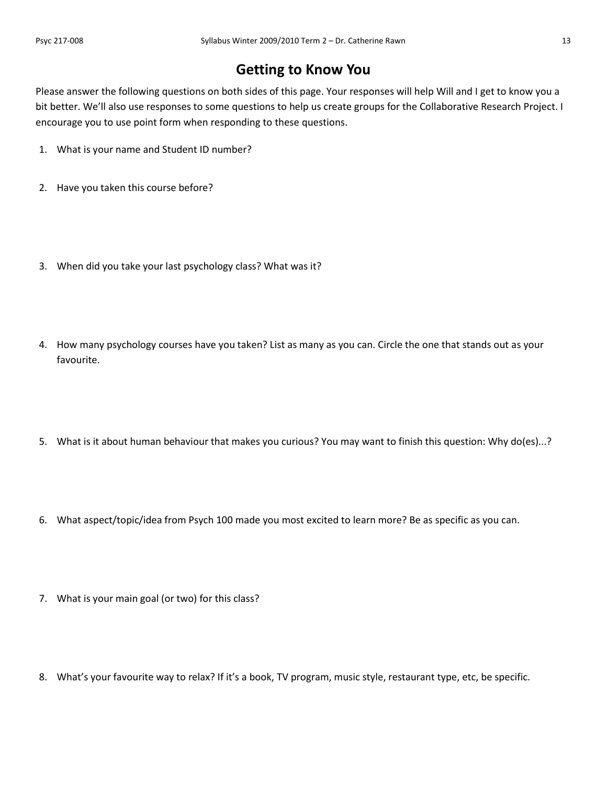## **Getting to Know You**

Please answer the following questions on both sides of this page. Your responses will help Will and I get to know you a bit better. We'll also use responses to some questions to help us create groups for the Collaborative Research Project. I encourage you to use point form when responding to these questions.

- 1. What is your name and Student ID number?
- 2. Have you taken this course before?
- 3. When did you take your last psychology class? What was it?
- 4. How many psychology courses have you taken? List as many as you can. Circle the one that stands out as your favourite.
- 5. What is it about human behaviour that makes you curious? You may want to finish this question: Why do(es)...?
- 6. What aspect/topic/idea from Psych 100 made you most excited to learn more? Be as specific as you can.
- 7. What is your main goal (or two) for this class?
- 8. What's your favourite way to relax? If it's a book, TV program, music style, restaurant type, etc, be specific.